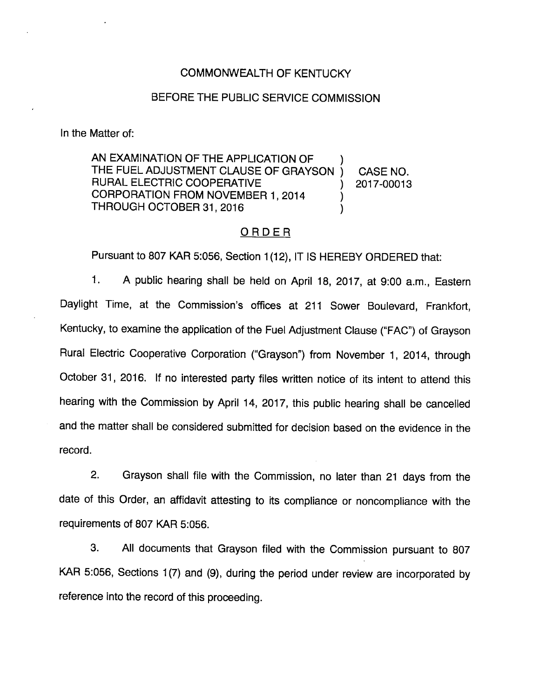### COMMONWEALTH OF KENTUCKY

# BEFORE THE PUBLIC SERVICE COMMISSION

In the Matter of:

AN EXAMINATION OF THE APPLICATION OF THE FUEL ADJUSTMENT CLAUSE OF GRAYSON ) CASE NO. RURAL ELECTRIC COOPERATIVE (2017-00013 CORPORATION FROM NOVEMBER 1, 2014 THROUGH OCTOBER 31, 2016

### ORDER

Pursuant to 807 KAR 5:056, Section 1(12), IT IS HEREBY ORDERED that:

1. A public hearing shall be held on April 18, 2017, at 9:00 a.m., Eastern Daylight Time, at the Commission's offices at 211 Sower Boulevard, Frankfort, Kentucky, to examine the application of the Fuel Adjustment Clause ("FAC") of Grayson Rural Electric Cooperative Corporation ("Grayson") from November 1, 2014, through October 31, 2016. If no interested party files written notice of its intent to attend this hearing with the Commission by April 14, 2017, this public hearing shall be cancelled and the matter shall be considered submitted for decision based on the evidence in the record.

2. Grayson shall file with the Commission, no later than 21 days from the date of this Order, an affidavit attesting to its compliance or noncompliance with the requirements of 807 KAR 5:056.

3. All documents that Grayson filed with the Commission pursuant to 807 KAR 5:056, Sections 1(7) and (9), during the period under review are incorporated by reference into the record of this proceeding.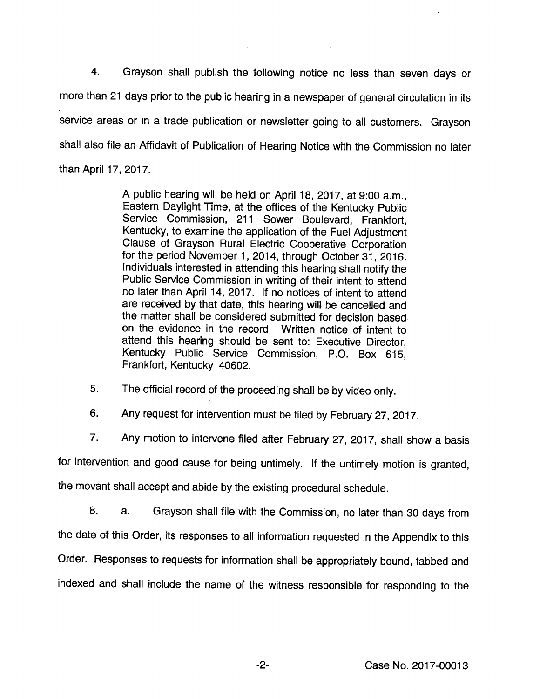4. Grayson shall publish the following notice no less than seven days or more than 21 days prior to the public hearing in a newspaper of general circulation in its service areas or in a trade publication or newsletter going to all customers. Grayson shall also file an Affidavit of Publication of Hearing Notice with the Commission no later than April 17, 2017.

> A public hearing will be held on April 18, 2017, at 9:00 a.m.. Eastern Daylight Time, at the offices of the Kentucky Public Service Commission, 211 Sower Boulevard, Frankfort, Kentucky, to examine the application of the Fuel Adjustment Clause of Grayson Rural Electric Cooperative Corporation for the period November 1, 2014, through October 31, 2016. Individuals interested in attending this hearing shall notify the Public Service Commission in writing of their intent to attend no later than April 14, 2017. If no notices of Intent to attend are received by that date, this hearing will be cancelled and the matter shall be considered submitted for decision based on the evidence in the record. Written notice of intent to attend this hearing should be sent to: Executive Director, Kentucky Public Service Commission, P.O. Box 615, Frankfort, Kentucky 40602.

5. The official record of the proceeding shall be by video only.

6. Any request for intervention must be filed by February 27, 2017.

7. Any motion to intervene filed after February 27, 2017, shall show a basis

for intervention and good cause for being untimely. If the untimely motion is granted,

the movant shall accept and abide by the existing procedural schedule.

8. a. Grayson shall file with the Commission, no later than 30 days from the date of this Order, its responses to all information requested in the Appendix to this Order. Responses to requests for information shall be appropriately bound, tabbed and indexed and shall include the name of the witness responsible for responding to the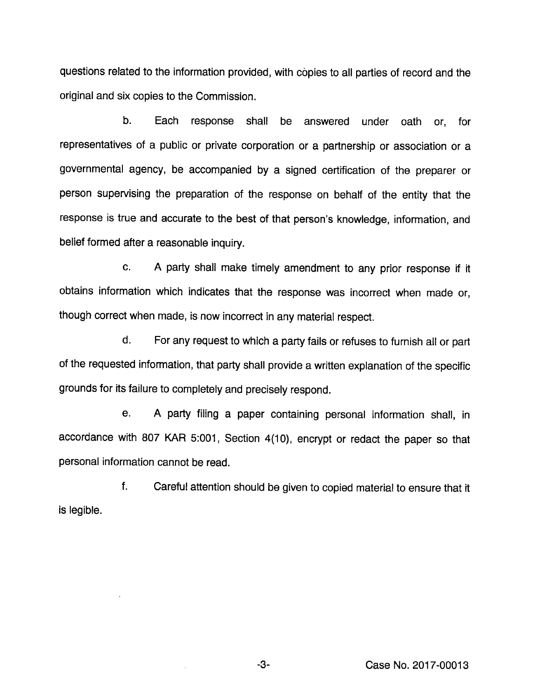questions related to the information provided, with copies to all parties of record and the original and six copies to the Commission.

b. Each response shall be answered under oath or, for representatives of a public or private corporation or a partnership or association or a governmental agency, be accompanied by a signed certification of the preparer or person supervising the preparation of the response on behalf of the entity that the response is true and accurate to the best of that person's knowledge, information, and belief formed after a reasonable inquiry.

c. A party shall make timely amendment to any prior response if it obtains information which indicates that the response was incorrect when made or, though correct when made, is now incorrect in any material respect.

d. Forany request to which a partyfails or refuses to furnish all or part of the requested information, that party shall provide a written explanation of the specific grounds for its failure to completely and precisely respond.

e. A party filing a paper containing personal information shall, in accordance with 807 KAR 5:001, Section 4(10), encrypt or redact the paper so that personal information cannot be read.

f. Careful attention should be given to copied material to ensure that it is legible.

 $\bar{z}$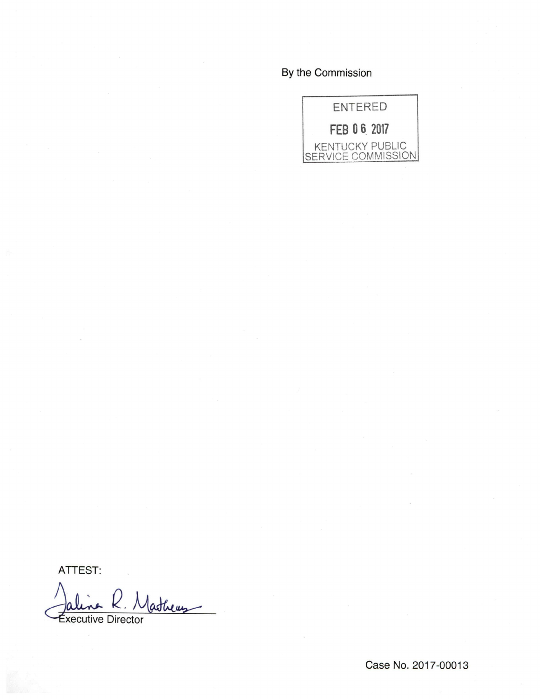# By the Commission



ATTEST:

latheus **Éxecutive Director** 

Case No. 2017-00013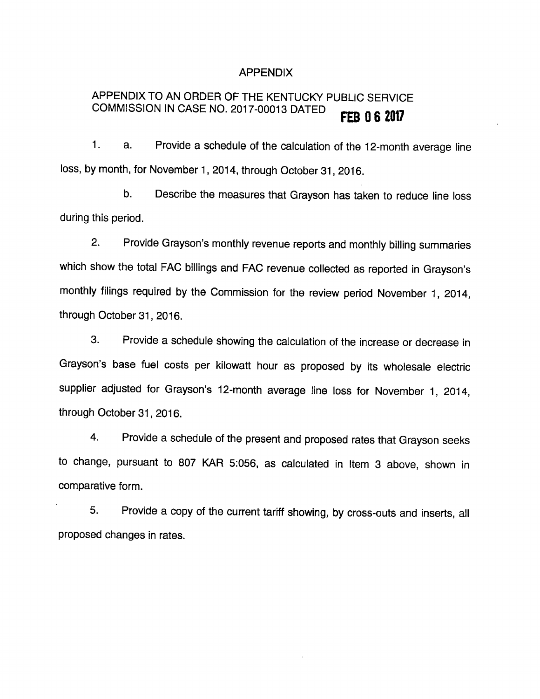# APPENDIX

#### APPENDIX TO AN ORDER OF THE KENTUCKY PUBLIC SERVICE COMMISSION IN CASE NO. 2017-00013 DATED **FEB 0 6 2017**

1. a. Provide a schedule of the calculation of the 12-month average line loss, by month, for November 1, 2014, through October 31, 2016.

b. Describe the measures that Grayson has taken to reduce line loss during this period.

2. Provide Grayson's monthly revenue reports and monthly billing summaries which show the total FAC billings and FAC revenue collected as reported in Grayson's monthly filings required by the Commission for the review period November 1, 2014, through October 31, 2016.

3. Provide a schedule showing the calculation of the increase or decrease in Grayson's base fuel costs per kilowatt hour as proposed by its wholesale electric supplier adjusted for Grayson's 12-month average line loss for November 1, 2014, through October 31, 2016.

4. Provide a schedule of the present and proposed rates that Grayson seeks to change, pursuant to 807 KAR 5:056, as calculated in Item 3 above, shown in comparative form.

5. Provide a copy of the current tariff showing, by cross-outs and inserts, all proposed changes in rates.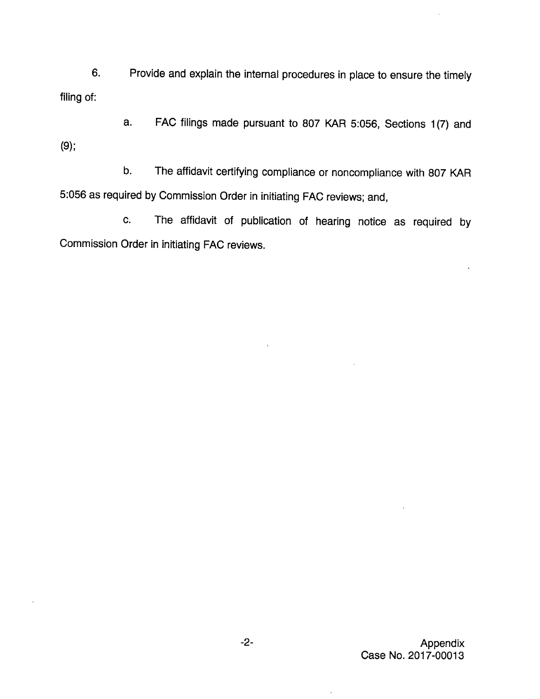6. Provide and explain the internal procedures in place to ensure the timely filing of:

a. FAC filings made pursuant to 807 KAR 5:056, Sections 1(7) and (9);

b. The affidavit certifying compliance or noncompliance with 807 KAR 5:056 as required by Commission Order in initiating FAC reviews; and,

c. The affidavit of publication of hearing notice as required by Commission Order in initiating FAC reviews.

 $\overline{1}$